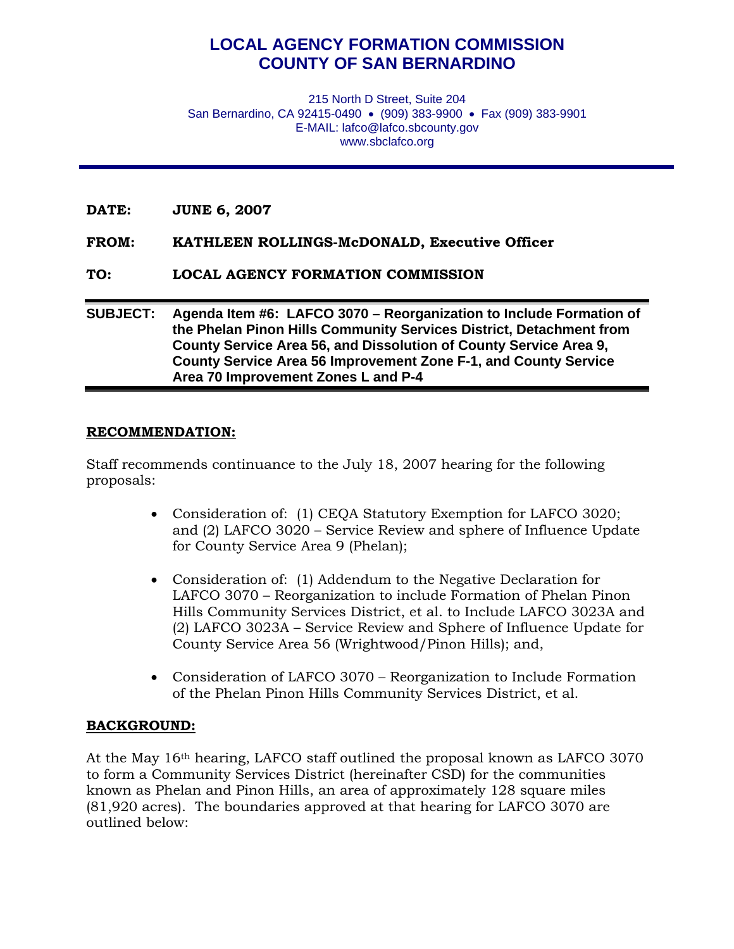## **LOCAL AGENCY FORMATION COMMISSION COUNTY OF SAN BERNARDINO**

215 North D Street, Suite 204 San Bernardino, CA 92415-0490 • (909) 383-9900 • Fax (909) 383-9901 E-MAIL: lafco@lafco.sbcounty.gov www.sbclafco.org

- **DATE: JUNE 6, 2007**
- **FROM: KATHLEEN ROLLINGS-McDONALD, Executive Officer**
- **TO: LOCAL AGENCY FORMATION COMMISSION**

## **SUBJECT: Agenda Item #6: LAFCO 3070 – Reorganization to Include Formation of the Phelan Pinon Hills Community Services District, Detachment from County Service Area 56, and Dissolution of County Service Area 9, County Service Area 56 Improvement Zone F-1, and County Service Area 70 Improvement Zones L and P-4**

## **RECOMMENDATION:**

Staff recommends continuance to the July 18, 2007 hearing for the following proposals:

- Consideration of: (1) CEQA Statutory Exemption for LAFCO 3020; and (2) LAFCO 3020 – Service Review and sphere of Influence Update for County Service Area 9 (Phelan);
- Consideration of: (1) Addendum to the Negative Declaration for LAFCO 3070 – Reorganization to include Formation of Phelan Pinon Hills Community Services District, et al. to Include LAFCO 3023A and (2) LAFCO 3023A – Service Review and Sphere of Influence Update for County Service Area 56 (Wrightwood/Pinon Hills); and,
- Consideration of LAFCO 3070 Reorganization to Include Formation of the Phelan Pinon Hills Community Services District, et al.

## **BACKGROUND:**

At the May 16th hearing, LAFCO staff outlined the proposal known as LAFCO 3070 to form a Community Services District (hereinafter CSD) for the communities known as Phelan and Pinon Hills, an area of approximately 128 square miles (81,920 acres). The boundaries approved at that hearing for LAFCO 3070 are outlined below: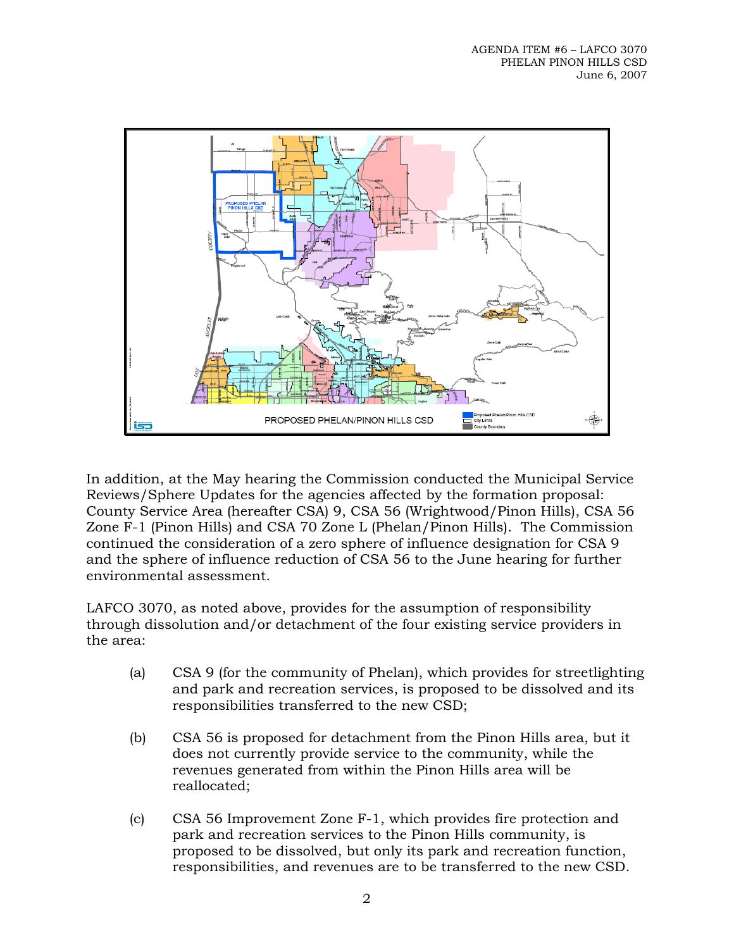

In addition, at the May hearing the Commission conducted the Municipal Service Reviews/Sphere Updates for the agencies affected by the formation proposal: County Service Area (hereafter CSA) 9, CSA 56 (Wrightwood/Pinon Hills), CSA 56 Zone F-1 (Pinon Hills) and CSA 70 Zone L (Phelan/Pinon Hills). The Commission continued the consideration of a zero sphere of influence designation for CSA 9 and the sphere of influence reduction of CSA 56 to the June hearing for further environmental assessment.

LAFCO 3070, as noted above, provides for the assumption of responsibility through dissolution and/or detachment of the four existing service providers in the area:

- (a) CSA 9 (for the community of Phelan), which provides for streetlighting and park and recreation services, is proposed to be dissolved and its responsibilities transferred to the new CSD;
- (b) CSA 56 is proposed for detachment from the Pinon Hills area, but it does not currently provide service to the community, while the revenues generated from within the Pinon Hills area will be reallocated;
- (c) CSA 56 Improvement Zone F-1, which provides fire protection and park and recreation services to the Pinon Hills community, is proposed to be dissolved, but only its park and recreation function, responsibilities, and revenues are to be transferred to the new CSD.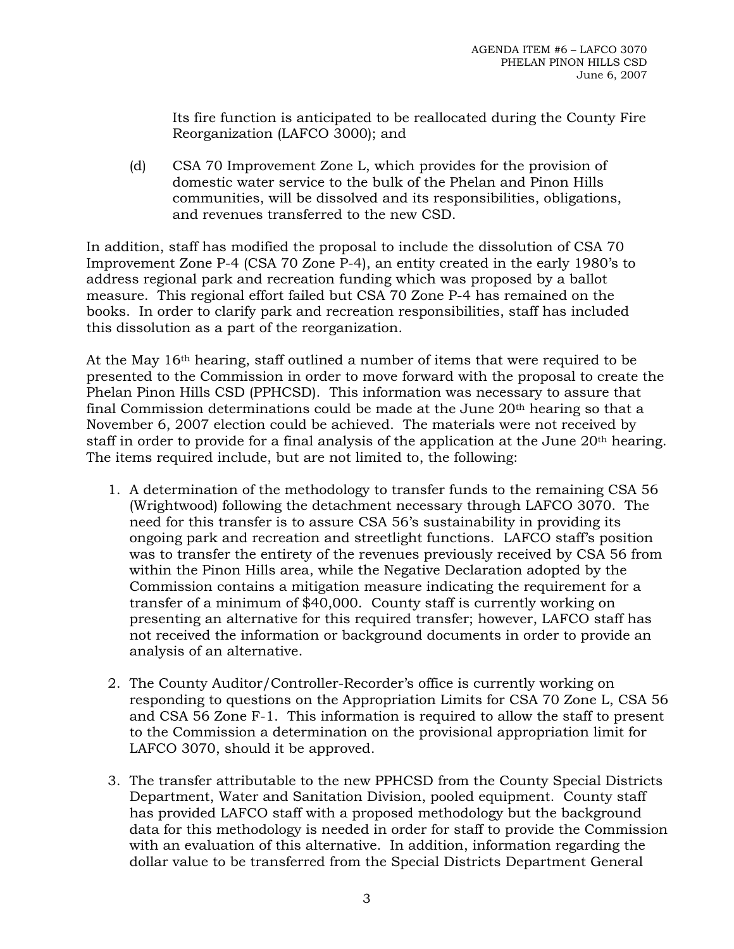Its fire function is anticipated to be reallocated during the County Fire Reorganization (LAFCO 3000); and

(d) CSA 70 Improvement Zone L, which provides for the provision of domestic water service to the bulk of the Phelan and Pinon Hills communities, will be dissolved and its responsibilities, obligations, and revenues transferred to the new CSD.

In addition, staff has modified the proposal to include the dissolution of CSA 70 Improvement Zone P-4 (CSA 70 Zone P-4), an entity created in the early 1980's to address regional park and recreation funding which was proposed by a ballot measure. This regional effort failed but CSA 70 Zone P-4 has remained on the books. In order to clarify park and recreation responsibilities, staff has included this dissolution as a part of the reorganization.

At the May 16th hearing, staff outlined a number of items that were required to be presented to the Commission in order to move forward with the proposal to create the Phelan Pinon Hills CSD (PPHCSD). This information was necessary to assure that final Commission determinations could be made at the June 20th hearing so that a November 6, 2007 election could be achieved. The materials were not received by staff in order to provide for a final analysis of the application at the June 20<sup>th</sup> hearing. The items required include, but are not limited to, the following:

- 1. A determination of the methodology to transfer funds to the remaining CSA 56 (Wrightwood) following the detachment necessary through LAFCO 3070. The need for this transfer is to assure CSA 56's sustainability in providing its ongoing park and recreation and streetlight functions. LAFCO staff's position was to transfer the entirety of the revenues previously received by CSA 56 from within the Pinon Hills area, while the Negative Declaration adopted by the Commission contains a mitigation measure indicating the requirement for a transfer of a minimum of \$40,000. County staff is currently working on presenting an alternative for this required transfer; however, LAFCO staff has not received the information or background documents in order to provide an analysis of an alternative.
- 2. The County Auditor/Controller-Recorder's office is currently working on responding to questions on the Appropriation Limits for CSA 70 Zone L, CSA 56 and CSA 56 Zone F-1. This information is required to allow the staff to present to the Commission a determination on the provisional appropriation limit for LAFCO 3070, should it be approved.
- 3. The transfer attributable to the new PPHCSD from the County Special Districts Department, Water and Sanitation Division, pooled equipment. County staff has provided LAFCO staff with a proposed methodology but the background data for this methodology is needed in order for staff to provide the Commission with an evaluation of this alternative. In addition, information regarding the dollar value to be transferred from the Special Districts Department General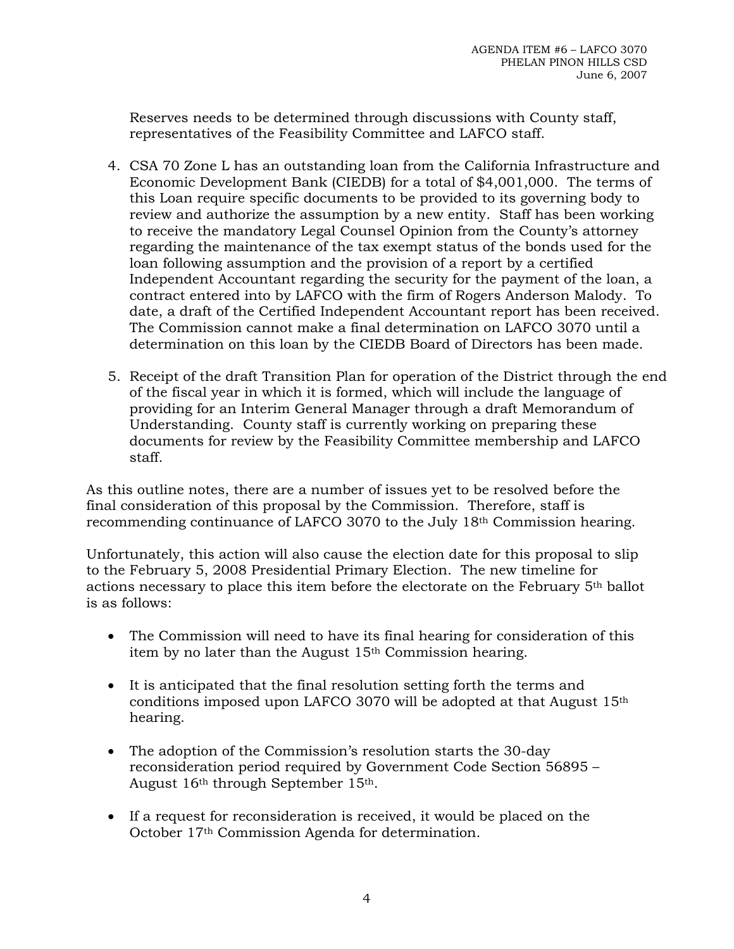Reserves needs to be determined through discussions with County staff, representatives of the Feasibility Committee and LAFCO staff.

- 4. CSA 70 Zone L has an outstanding loan from the California Infrastructure and Economic Development Bank (CIEDB) for a total of \$4,001,000. The terms of this Loan require specific documents to be provided to its governing body to review and authorize the assumption by a new entity. Staff has been working to receive the mandatory Legal Counsel Opinion from the County's attorney regarding the maintenance of the tax exempt status of the bonds used for the loan following assumption and the provision of a report by a certified Independent Accountant regarding the security for the payment of the loan, a contract entered into by LAFCO with the firm of Rogers Anderson Malody. To date, a draft of the Certified Independent Accountant report has been received. The Commission cannot make a final determination on LAFCO 3070 until a determination on this loan by the CIEDB Board of Directors has been made.
- 5. Receipt of the draft Transition Plan for operation of the District through the end of the fiscal year in which it is formed, which will include the language of providing for an Interim General Manager through a draft Memorandum of Understanding. County staff is currently working on preparing these documents for review by the Feasibility Committee membership and LAFCO staff.

As this outline notes, there are a number of issues yet to be resolved before the final consideration of this proposal by the Commission. Therefore, staff is recommending continuance of LAFCO 3070 to the July 18th Commission hearing.

Unfortunately, this action will also cause the election date for this proposal to slip to the February 5, 2008 Presidential Primary Election. The new timeline for actions necessary to place this item before the electorate on the February 5th ballot is as follows:

- The Commission will need to have its final hearing for consideration of this item by no later than the August 15th Commission hearing.
- It is anticipated that the final resolution setting forth the terms and conditions imposed upon LAFCO 3070 will be adopted at that August 15th hearing.
- The adoption of the Commission's resolution starts the 30-day reconsideration period required by Government Code Section 56895 – August 16th through September 15th.
- If a request for reconsideration is received, it would be placed on the October 17th Commission Agenda for determination.